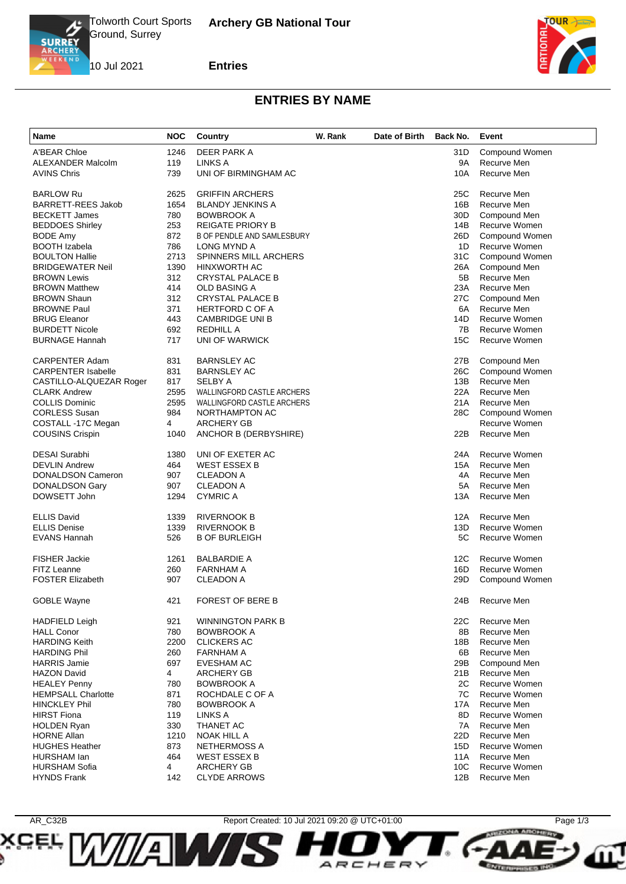

**SCEL** 

**Entries**

10 Jul 2021



**PRZCINA ARCHIVAV** 

**ENTERPRISES INC.** 

## **ENTRIES BY NAME**

| A'BEAR Chloe<br>1246<br>DEER PARK A<br>31D<br>Compound Women<br><b>ALEXANDER Malcolm</b><br>119<br>LINKS A<br>9A<br>Recurve Men<br><b>AVINS Chris</b><br>739<br>UNI OF BIRMINGHAM AC<br>10A<br>Recurve Men<br><b>BARLOW Ru</b><br>2625<br><b>GRIFFIN ARCHERS</b><br>25C<br>Recurve Men<br>Recurve Men<br><b>BARRETT-REES Jakob</b><br>1654<br><b>BLANDY JENKINS A</b><br>16B<br>780<br><b>BOWBROOK A</b><br>30D<br>Compound Men<br><b>BECKETT James</b><br><b>BEDDOES Shirley</b><br>253<br>REIGATE PRIORY B<br>14B<br>Recurve Women<br>872<br><b>B OF PENDLE AND SAMLESBURY</b><br>26D<br>Compound Women<br><b>BODE Amy</b><br>786<br><b>BOOTH Izabela</b><br>LONG MYND A<br>1D<br><b>Recurve Women</b><br><b>BOULTON Hallie</b><br>2713<br><b>SPINNERS MILL ARCHERS</b><br>31C<br><b>Compound Women</b><br><b>BRIDGEWATER Neil</b><br>1390<br><b>HINXWORTH AC</b><br>26A<br>Compound Men<br>Recurve Men<br><b>BROWN Lewis</b><br>312<br><b>CRYSTAL PALACE B</b><br>5B<br>414<br>OLD BASING A<br>23A<br>Recurve Men<br><b>BROWN Matthew</b><br>312<br><b>BROWN Shaun</b><br><b>CRYSTAL PALACE B</b><br>27C<br>Compound Men<br>Recurve Men<br><b>BROWNE Paul</b><br>371<br><b>HERTFORD C OF A</b><br>6A<br>Recurve Women<br><b>BRUG Eleanor</b><br>443<br><b>CAMBRIDGE UNI B</b><br>14D<br><b>BURDETT Nicole</b><br>692<br>REDHILL A<br>7B<br>Recurve Women<br><b>BURNAGE Hannah</b><br>717<br>UNI OF WARWICK<br>15C<br>Recurve Women<br><b>CARPENTER Adam</b><br>831<br><b>BARNSLEY AC</b><br>27B<br>Compound Men<br>831<br>Compound Women<br><b>CARPENTER Isabelle</b><br><b>BARNSLEY AC</b><br>26C<br>817<br>13B<br>Recurve Men<br>CASTILLO-ALQUEZAR Roger<br>SELBY A<br>Recurve Men<br><b>CLARK Andrew</b><br>2595<br>WALLINGFORD CASTLE ARCHERS<br>22A<br>2595<br><b>COLLIS Dominic</b><br><b>WALLINGFORD CASTLE ARCHERS</b><br>21A<br>Recurve Men<br>984<br><b>CORLESS Susan</b><br>NORTHAMPTON AC<br>28C<br>Compound Women<br>Recurve Women<br><b>ARCHERY GB</b><br>COSTALL -17C Megan<br>4<br>Recurve Men<br><b>COUSINS Crispin</b><br>1040<br>22B<br>ANCHOR B (DERBYSHIRE)<br><b>DESAI Surabhi</b><br>UNI OF EXETER AC<br>24A<br>Recurve Women<br>1380<br><b>DEVLIN Andrew</b><br>464<br><b>WEST ESSEX B</b><br>15A<br>Recurve Men<br><b>DONALDSON Cameron</b><br>907<br><b>CLEADON A</b><br>4A<br>Recurve Men<br>DONALDSON Gary<br>907<br><b>CLEADON A</b><br>5A<br>Recurve Men<br>DOWSETT John<br>1294<br><b>CYMRIC A</b><br>13A<br>Recurve Men<br><b>ELLIS David</b><br>1339<br><b>RIVERNOOK B</b><br>12A<br>Recurve Men<br><b>ELLIS Denise</b><br>1339<br><b>RIVERNOOK B</b><br>13D<br>Recurve Women<br><b>EVANS Hannah</b><br>526<br>5C<br>Recurve Women<br><b>B OF BURLEIGH</b><br><b>FISHER Jackie</b><br><b>BALBARDIE A</b><br>Recurve Women<br>1261<br>12C<br>FITZ Leanne<br>Recurve Women<br>260<br><b>FARNHAM A</b><br>16D<br><b>FOSTER Elizabeth</b><br>907<br>CLEADON A<br>29 <sub>D</sub><br>Compound Women<br><b>GOBLE Wayne</b><br>421<br>FOREST OF BERE B<br>24B<br>Recurve Men<br>921<br><b>WINNINGTON PARK B</b><br>Recurve Men<br><b>HADFIELD Leigh</b><br>22C<br><b>HALL Conor</b><br>780<br><b>BOWBROOK A</b><br>8Β<br>Recurve Men<br><b>HARDING Keith</b><br>2200<br>Recurve Men<br><b>CLICKERS AC</b><br>18B<br><b>HARDING Phil</b><br>260<br>FARNHAM A<br>6B<br>Recurve Men<br><b>HARRIS Jamie</b><br>697<br><b>EVESHAM AC</b><br>29B<br>Compound Men<br><b>HAZON David</b><br>4<br><b>ARCHERY GB</b><br>21B<br>Recurve Men<br><b>HEALEY Penny</b><br>780<br><b>BOWBROOK A</b><br>2C<br>Recurve Women<br><b>HEMPSALL Charlotte</b><br>871<br>ROCHDALE C OF A<br>7C<br>Recurve Women<br><b>HINCKLEY Phil</b><br>780<br>17A<br>Recurve Men<br><b>BOWBROOK A</b><br><b>HIRST Fiona</b><br>119<br>LINKS A<br>8D<br>Recurve Women<br>330<br>7A<br>Recurve Men<br><b>HOLDEN Ryan</b><br>THANET AC<br><b>HORNE Allan</b><br>1210<br>NOAK HILL A<br>22D<br>Recurve Men<br><b>HUGHES Heather</b><br>873<br><b>NETHERMOSS A</b><br>15D<br>Recurve Women<br>464<br><b>WEST ESSEX B</b><br>11A<br>Recurve Men<br>HURSHAM lan<br><b>HURSHAM Sofia</b><br>4<br><b>ARCHERY GB</b><br>10C<br>Recurve Women | Name               | <b>NOC</b> | Country             | W. Rank | Date of Birth | Back No. | Event       |
|------------------------------------------------------------------------------------------------------------------------------------------------------------------------------------------------------------------------------------------------------------------------------------------------------------------------------------------------------------------------------------------------------------------------------------------------------------------------------------------------------------------------------------------------------------------------------------------------------------------------------------------------------------------------------------------------------------------------------------------------------------------------------------------------------------------------------------------------------------------------------------------------------------------------------------------------------------------------------------------------------------------------------------------------------------------------------------------------------------------------------------------------------------------------------------------------------------------------------------------------------------------------------------------------------------------------------------------------------------------------------------------------------------------------------------------------------------------------------------------------------------------------------------------------------------------------------------------------------------------------------------------------------------------------------------------------------------------------------------------------------------------------------------------------------------------------------------------------------------------------------------------------------------------------------------------------------------------------------------------------------------------------------------------------------------------------------------------------------------------------------------------------------------------------------------------------------------------------------------------------------------------------------------------------------------------------------------------------------------------------------------------------------------------------------------------------------------------------------------------------------------------------------------------------------------------------------------------------------------------------------------------------------------------------------------------------------------------------------------------------------------------------------------------------------------------------------------------------------------------------------------------------------------------------------------------------------------------------------------------------------------------------------------------------------------------------------------------------------------------------------------------------------------------------------------------------------------------------------------------------------------------------------------------------------------------------------------------------------------------------------------------------------------------------------------------------------------------------------------------------------------------------------------------------------------------------------------------------------------------------------------------------------------------------------------------------------------------------------------------------------------------------------------------------------------------------------------------------------------------------------------------------------------------------------------------------------------------------------------------------------------------------------------------------------------------------------------------------------------------------------|--------------------|------------|---------------------|---------|---------------|----------|-------------|
|                                                                                                                                                                                                                                                                                                                                                                                                                                                                                                                                                                                                                                                                                                                                                                                                                                                                                                                                                                                                                                                                                                                                                                                                                                                                                                                                                                                                                                                                                                                                                                                                                                                                                                                                                                                                                                                                                                                                                                                                                                                                                                                                                                                                                                                                                                                                                                                                                                                                                                                                                                                                                                                                                                                                                                                                                                                                                                                                                                                                                                                                                                                                                                                                                                                                                                                                                                                                                                                                                                                                                                                                                                                                                                                                                                                                                                                                                                                                                                                                                                                                                                                              |                    |            |                     |         |               |          |             |
|                                                                                                                                                                                                                                                                                                                                                                                                                                                                                                                                                                                                                                                                                                                                                                                                                                                                                                                                                                                                                                                                                                                                                                                                                                                                                                                                                                                                                                                                                                                                                                                                                                                                                                                                                                                                                                                                                                                                                                                                                                                                                                                                                                                                                                                                                                                                                                                                                                                                                                                                                                                                                                                                                                                                                                                                                                                                                                                                                                                                                                                                                                                                                                                                                                                                                                                                                                                                                                                                                                                                                                                                                                                                                                                                                                                                                                                                                                                                                                                                                                                                                                                              |                    |            |                     |         |               |          |             |
|                                                                                                                                                                                                                                                                                                                                                                                                                                                                                                                                                                                                                                                                                                                                                                                                                                                                                                                                                                                                                                                                                                                                                                                                                                                                                                                                                                                                                                                                                                                                                                                                                                                                                                                                                                                                                                                                                                                                                                                                                                                                                                                                                                                                                                                                                                                                                                                                                                                                                                                                                                                                                                                                                                                                                                                                                                                                                                                                                                                                                                                                                                                                                                                                                                                                                                                                                                                                                                                                                                                                                                                                                                                                                                                                                                                                                                                                                                                                                                                                                                                                                                                              |                    |            |                     |         |               |          |             |
|                                                                                                                                                                                                                                                                                                                                                                                                                                                                                                                                                                                                                                                                                                                                                                                                                                                                                                                                                                                                                                                                                                                                                                                                                                                                                                                                                                                                                                                                                                                                                                                                                                                                                                                                                                                                                                                                                                                                                                                                                                                                                                                                                                                                                                                                                                                                                                                                                                                                                                                                                                                                                                                                                                                                                                                                                                                                                                                                                                                                                                                                                                                                                                                                                                                                                                                                                                                                                                                                                                                                                                                                                                                                                                                                                                                                                                                                                                                                                                                                                                                                                                                              |                    |            |                     |         |               |          |             |
|                                                                                                                                                                                                                                                                                                                                                                                                                                                                                                                                                                                                                                                                                                                                                                                                                                                                                                                                                                                                                                                                                                                                                                                                                                                                                                                                                                                                                                                                                                                                                                                                                                                                                                                                                                                                                                                                                                                                                                                                                                                                                                                                                                                                                                                                                                                                                                                                                                                                                                                                                                                                                                                                                                                                                                                                                                                                                                                                                                                                                                                                                                                                                                                                                                                                                                                                                                                                                                                                                                                                                                                                                                                                                                                                                                                                                                                                                                                                                                                                                                                                                                                              |                    |            |                     |         |               |          |             |
|                                                                                                                                                                                                                                                                                                                                                                                                                                                                                                                                                                                                                                                                                                                                                                                                                                                                                                                                                                                                                                                                                                                                                                                                                                                                                                                                                                                                                                                                                                                                                                                                                                                                                                                                                                                                                                                                                                                                                                                                                                                                                                                                                                                                                                                                                                                                                                                                                                                                                                                                                                                                                                                                                                                                                                                                                                                                                                                                                                                                                                                                                                                                                                                                                                                                                                                                                                                                                                                                                                                                                                                                                                                                                                                                                                                                                                                                                                                                                                                                                                                                                                                              |                    |            |                     |         |               |          |             |
|                                                                                                                                                                                                                                                                                                                                                                                                                                                                                                                                                                                                                                                                                                                                                                                                                                                                                                                                                                                                                                                                                                                                                                                                                                                                                                                                                                                                                                                                                                                                                                                                                                                                                                                                                                                                                                                                                                                                                                                                                                                                                                                                                                                                                                                                                                                                                                                                                                                                                                                                                                                                                                                                                                                                                                                                                                                                                                                                                                                                                                                                                                                                                                                                                                                                                                                                                                                                                                                                                                                                                                                                                                                                                                                                                                                                                                                                                                                                                                                                                                                                                                                              |                    |            |                     |         |               |          |             |
|                                                                                                                                                                                                                                                                                                                                                                                                                                                                                                                                                                                                                                                                                                                                                                                                                                                                                                                                                                                                                                                                                                                                                                                                                                                                                                                                                                                                                                                                                                                                                                                                                                                                                                                                                                                                                                                                                                                                                                                                                                                                                                                                                                                                                                                                                                                                                                                                                                                                                                                                                                                                                                                                                                                                                                                                                                                                                                                                                                                                                                                                                                                                                                                                                                                                                                                                                                                                                                                                                                                                                                                                                                                                                                                                                                                                                                                                                                                                                                                                                                                                                                                              |                    |            |                     |         |               |          |             |
|                                                                                                                                                                                                                                                                                                                                                                                                                                                                                                                                                                                                                                                                                                                                                                                                                                                                                                                                                                                                                                                                                                                                                                                                                                                                                                                                                                                                                                                                                                                                                                                                                                                                                                                                                                                                                                                                                                                                                                                                                                                                                                                                                                                                                                                                                                                                                                                                                                                                                                                                                                                                                                                                                                                                                                                                                                                                                                                                                                                                                                                                                                                                                                                                                                                                                                                                                                                                                                                                                                                                                                                                                                                                                                                                                                                                                                                                                                                                                                                                                                                                                                                              |                    |            |                     |         |               |          |             |
|                                                                                                                                                                                                                                                                                                                                                                                                                                                                                                                                                                                                                                                                                                                                                                                                                                                                                                                                                                                                                                                                                                                                                                                                                                                                                                                                                                                                                                                                                                                                                                                                                                                                                                                                                                                                                                                                                                                                                                                                                                                                                                                                                                                                                                                                                                                                                                                                                                                                                                                                                                                                                                                                                                                                                                                                                                                                                                                                                                                                                                                                                                                                                                                                                                                                                                                                                                                                                                                                                                                                                                                                                                                                                                                                                                                                                                                                                                                                                                                                                                                                                                                              |                    |            |                     |         |               |          |             |
|                                                                                                                                                                                                                                                                                                                                                                                                                                                                                                                                                                                                                                                                                                                                                                                                                                                                                                                                                                                                                                                                                                                                                                                                                                                                                                                                                                                                                                                                                                                                                                                                                                                                                                                                                                                                                                                                                                                                                                                                                                                                                                                                                                                                                                                                                                                                                                                                                                                                                                                                                                                                                                                                                                                                                                                                                                                                                                                                                                                                                                                                                                                                                                                                                                                                                                                                                                                                                                                                                                                                                                                                                                                                                                                                                                                                                                                                                                                                                                                                                                                                                                                              |                    |            |                     |         |               |          |             |
|                                                                                                                                                                                                                                                                                                                                                                                                                                                                                                                                                                                                                                                                                                                                                                                                                                                                                                                                                                                                                                                                                                                                                                                                                                                                                                                                                                                                                                                                                                                                                                                                                                                                                                                                                                                                                                                                                                                                                                                                                                                                                                                                                                                                                                                                                                                                                                                                                                                                                                                                                                                                                                                                                                                                                                                                                                                                                                                                                                                                                                                                                                                                                                                                                                                                                                                                                                                                                                                                                                                                                                                                                                                                                                                                                                                                                                                                                                                                                                                                                                                                                                                              |                    |            |                     |         |               |          |             |
|                                                                                                                                                                                                                                                                                                                                                                                                                                                                                                                                                                                                                                                                                                                                                                                                                                                                                                                                                                                                                                                                                                                                                                                                                                                                                                                                                                                                                                                                                                                                                                                                                                                                                                                                                                                                                                                                                                                                                                                                                                                                                                                                                                                                                                                                                                                                                                                                                                                                                                                                                                                                                                                                                                                                                                                                                                                                                                                                                                                                                                                                                                                                                                                                                                                                                                                                                                                                                                                                                                                                                                                                                                                                                                                                                                                                                                                                                                                                                                                                                                                                                                                              |                    |            |                     |         |               |          |             |
|                                                                                                                                                                                                                                                                                                                                                                                                                                                                                                                                                                                                                                                                                                                                                                                                                                                                                                                                                                                                                                                                                                                                                                                                                                                                                                                                                                                                                                                                                                                                                                                                                                                                                                                                                                                                                                                                                                                                                                                                                                                                                                                                                                                                                                                                                                                                                                                                                                                                                                                                                                                                                                                                                                                                                                                                                                                                                                                                                                                                                                                                                                                                                                                                                                                                                                                                                                                                                                                                                                                                                                                                                                                                                                                                                                                                                                                                                                                                                                                                                                                                                                                              |                    |            |                     |         |               |          |             |
|                                                                                                                                                                                                                                                                                                                                                                                                                                                                                                                                                                                                                                                                                                                                                                                                                                                                                                                                                                                                                                                                                                                                                                                                                                                                                                                                                                                                                                                                                                                                                                                                                                                                                                                                                                                                                                                                                                                                                                                                                                                                                                                                                                                                                                                                                                                                                                                                                                                                                                                                                                                                                                                                                                                                                                                                                                                                                                                                                                                                                                                                                                                                                                                                                                                                                                                                                                                                                                                                                                                                                                                                                                                                                                                                                                                                                                                                                                                                                                                                                                                                                                                              |                    |            |                     |         |               |          |             |
|                                                                                                                                                                                                                                                                                                                                                                                                                                                                                                                                                                                                                                                                                                                                                                                                                                                                                                                                                                                                                                                                                                                                                                                                                                                                                                                                                                                                                                                                                                                                                                                                                                                                                                                                                                                                                                                                                                                                                                                                                                                                                                                                                                                                                                                                                                                                                                                                                                                                                                                                                                                                                                                                                                                                                                                                                                                                                                                                                                                                                                                                                                                                                                                                                                                                                                                                                                                                                                                                                                                                                                                                                                                                                                                                                                                                                                                                                                                                                                                                                                                                                                                              |                    |            |                     |         |               |          |             |
|                                                                                                                                                                                                                                                                                                                                                                                                                                                                                                                                                                                                                                                                                                                                                                                                                                                                                                                                                                                                                                                                                                                                                                                                                                                                                                                                                                                                                                                                                                                                                                                                                                                                                                                                                                                                                                                                                                                                                                                                                                                                                                                                                                                                                                                                                                                                                                                                                                                                                                                                                                                                                                                                                                                                                                                                                                                                                                                                                                                                                                                                                                                                                                                                                                                                                                                                                                                                                                                                                                                                                                                                                                                                                                                                                                                                                                                                                                                                                                                                                                                                                                                              |                    |            |                     |         |               |          |             |
|                                                                                                                                                                                                                                                                                                                                                                                                                                                                                                                                                                                                                                                                                                                                                                                                                                                                                                                                                                                                                                                                                                                                                                                                                                                                                                                                                                                                                                                                                                                                                                                                                                                                                                                                                                                                                                                                                                                                                                                                                                                                                                                                                                                                                                                                                                                                                                                                                                                                                                                                                                                                                                                                                                                                                                                                                                                                                                                                                                                                                                                                                                                                                                                                                                                                                                                                                                                                                                                                                                                                                                                                                                                                                                                                                                                                                                                                                                                                                                                                                                                                                                                              |                    |            |                     |         |               |          |             |
|                                                                                                                                                                                                                                                                                                                                                                                                                                                                                                                                                                                                                                                                                                                                                                                                                                                                                                                                                                                                                                                                                                                                                                                                                                                                                                                                                                                                                                                                                                                                                                                                                                                                                                                                                                                                                                                                                                                                                                                                                                                                                                                                                                                                                                                                                                                                                                                                                                                                                                                                                                                                                                                                                                                                                                                                                                                                                                                                                                                                                                                                                                                                                                                                                                                                                                                                                                                                                                                                                                                                                                                                                                                                                                                                                                                                                                                                                                                                                                                                                                                                                                                              |                    |            |                     |         |               |          |             |
|                                                                                                                                                                                                                                                                                                                                                                                                                                                                                                                                                                                                                                                                                                                                                                                                                                                                                                                                                                                                                                                                                                                                                                                                                                                                                                                                                                                                                                                                                                                                                                                                                                                                                                                                                                                                                                                                                                                                                                                                                                                                                                                                                                                                                                                                                                                                                                                                                                                                                                                                                                                                                                                                                                                                                                                                                                                                                                                                                                                                                                                                                                                                                                                                                                                                                                                                                                                                                                                                                                                                                                                                                                                                                                                                                                                                                                                                                                                                                                                                                                                                                                                              |                    |            |                     |         |               |          |             |
|                                                                                                                                                                                                                                                                                                                                                                                                                                                                                                                                                                                                                                                                                                                                                                                                                                                                                                                                                                                                                                                                                                                                                                                                                                                                                                                                                                                                                                                                                                                                                                                                                                                                                                                                                                                                                                                                                                                                                                                                                                                                                                                                                                                                                                                                                                                                                                                                                                                                                                                                                                                                                                                                                                                                                                                                                                                                                                                                                                                                                                                                                                                                                                                                                                                                                                                                                                                                                                                                                                                                                                                                                                                                                                                                                                                                                                                                                                                                                                                                                                                                                                                              |                    |            |                     |         |               |          |             |
|                                                                                                                                                                                                                                                                                                                                                                                                                                                                                                                                                                                                                                                                                                                                                                                                                                                                                                                                                                                                                                                                                                                                                                                                                                                                                                                                                                                                                                                                                                                                                                                                                                                                                                                                                                                                                                                                                                                                                                                                                                                                                                                                                                                                                                                                                                                                                                                                                                                                                                                                                                                                                                                                                                                                                                                                                                                                                                                                                                                                                                                                                                                                                                                                                                                                                                                                                                                                                                                                                                                                                                                                                                                                                                                                                                                                                                                                                                                                                                                                                                                                                                                              |                    |            |                     |         |               |          |             |
|                                                                                                                                                                                                                                                                                                                                                                                                                                                                                                                                                                                                                                                                                                                                                                                                                                                                                                                                                                                                                                                                                                                                                                                                                                                                                                                                                                                                                                                                                                                                                                                                                                                                                                                                                                                                                                                                                                                                                                                                                                                                                                                                                                                                                                                                                                                                                                                                                                                                                                                                                                                                                                                                                                                                                                                                                                                                                                                                                                                                                                                                                                                                                                                                                                                                                                                                                                                                                                                                                                                                                                                                                                                                                                                                                                                                                                                                                                                                                                                                                                                                                                                              |                    |            |                     |         |               |          |             |
|                                                                                                                                                                                                                                                                                                                                                                                                                                                                                                                                                                                                                                                                                                                                                                                                                                                                                                                                                                                                                                                                                                                                                                                                                                                                                                                                                                                                                                                                                                                                                                                                                                                                                                                                                                                                                                                                                                                                                                                                                                                                                                                                                                                                                                                                                                                                                                                                                                                                                                                                                                                                                                                                                                                                                                                                                                                                                                                                                                                                                                                                                                                                                                                                                                                                                                                                                                                                                                                                                                                                                                                                                                                                                                                                                                                                                                                                                                                                                                                                                                                                                                                              |                    |            |                     |         |               |          |             |
|                                                                                                                                                                                                                                                                                                                                                                                                                                                                                                                                                                                                                                                                                                                                                                                                                                                                                                                                                                                                                                                                                                                                                                                                                                                                                                                                                                                                                                                                                                                                                                                                                                                                                                                                                                                                                                                                                                                                                                                                                                                                                                                                                                                                                                                                                                                                                                                                                                                                                                                                                                                                                                                                                                                                                                                                                                                                                                                                                                                                                                                                                                                                                                                                                                                                                                                                                                                                                                                                                                                                                                                                                                                                                                                                                                                                                                                                                                                                                                                                                                                                                                                              |                    |            |                     |         |               |          |             |
|                                                                                                                                                                                                                                                                                                                                                                                                                                                                                                                                                                                                                                                                                                                                                                                                                                                                                                                                                                                                                                                                                                                                                                                                                                                                                                                                                                                                                                                                                                                                                                                                                                                                                                                                                                                                                                                                                                                                                                                                                                                                                                                                                                                                                                                                                                                                                                                                                                                                                                                                                                                                                                                                                                                                                                                                                                                                                                                                                                                                                                                                                                                                                                                                                                                                                                                                                                                                                                                                                                                                                                                                                                                                                                                                                                                                                                                                                                                                                                                                                                                                                                                              |                    |            |                     |         |               |          |             |
|                                                                                                                                                                                                                                                                                                                                                                                                                                                                                                                                                                                                                                                                                                                                                                                                                                                                                                                                                                                                                                                                                                                                                                                                                                                                                                                                                                                                                                                                                                                                                                                                                                                                                                                                                                                                                                                                                                                                                                                                                                                                                                                                                                                                                                                                                                                                                                                                                                                                                                                                                                                                                                                                                                                                                                                                                                                                                                                                                                                                                                                                                                                                                                                                                                                                                                                                                                                                                                                                                                                                                                                                                                                                                                                                                                                                                                                                                                                                                                                                                                                                                                                              |                    |            |                     |         |               |          |             |
|                                                                                                                                                                                                                                                                                                                                                                                                                                                                                                                                                                                                                                                                                                                                                                                                                                                                                                                                                                                                                                                                                                                                                                                                                                                                                                                                                                                                                                                                                                                                                                                                                                                                                                                                                                                                                                                                                                                                                                                                                                                                                                                                                                                                                                                                                                                                                                                                                                                                                                                                                                                                                                                                                                                                                                                                                                                                                                                                                                                                                                                                                                                                                                                                                                                                                                                                                                                                                                                                                                                                                                                                                                                                                                                                                                                                                                                                                                                                                                                                                                                                                                                              |                    |            |                     |         |               |          |             |
|                                                                                                                                                                                                                                                                                                                                                                                                                                                                                                                                                                                                                                                                                                                                                                                                                                                                                                                                                                                                                                                                                                                                                                                                                                                                                                                                                                                                                                                                                                                                                                                                                                                                                                                                                                                                                                                                                                                                                                                                                                                                                                                                                                                                                                                                                                                                                                                                                                                                                                                                                                                                                                                                                                                                                                                                                                                                                                                                                                                                                                                                                                                                                                                                                                                                                                                                                                                                                                                                                                                                                                                                                                                                                                                                                                                                                                                                                                                                                                                                                                                                                                                              |                    |            |                     |         |               |          |             |
|                                                                                                                                                                                                                                                                                                                                                                                                                                                                                                                                                                                                                                                                                                                                                                                                                                                                                                                                                                                                                                                                                                                                                                                                                                                                                                                                                                                                                                                                                                                                                                                                                                                                                                                                                                                                                                                                                                                                                                                                                                                                                                                                                                                                                                                                                                                                                                                                                                                                                                                                                                                                                                                                                                                                                                                                                                                                                                                                                                                                                                                                                                                                                                                                                                                                                                                                                                                                                                                                                                                                                                                                                                                                                                                                                                                                                                                                                                                                                                                                                                                                                                                              |                    |            |                     |         |               |          |             |
|                                                                                                                                                                                                                                                                                                                                                                                                                                                                                                                                                                                                                                                                                                                                                                                                                                                                                                                                                                                                                                                                                                                                                                                                                                                                                                                                                                                                                                                                                                                                                                                                                                                                                                                                                                                                                                                                                                                                                                                                                                                                                                                                                                                                                                                                                                                                                                                                                                                                                                                                                                                                                                                                                                                                                                                                                                                                                                                                                                                                                                                                                                                                                                                                                                                                                                                                                                                                                                                                                                                                                                                                                                                                                                                                                                                                                                                                                                                                                                                                                                                                                                                              |                    |            |                     |         |               |          |             |
|                                                                                                                                                                                                                                                                                                                                                                                                                                                                                                                                                                                                                                                                                                                                                                                                                                                                                                                                                                                                                                                                                                                                                                                                                                                                                                                                                                                                                                                                                                                                                                                                                                                                                                                                                                                                                                                                                                                                                                                                                                                                                                                                                                                                                                                                                                                                                                                                                                                                                                                                                                                                                                                                                                                                                                                                                                                                                                                                                                                                                                                                                                                                                                                                                                                                                                                                                                                                                                                                                                                                                                                                                                                                                                                                                                                                                                                                                                                                                                                                                                                                                                                              |                    |            |                     |         |               |          |             |
|                                                                                                                                                                                                                                                                                                                                                                                                                                                                                                                                                                                                                                                                                                                                                                                                                                                                                                                                                                                                                                                                                                                                                                                                                                                                                                                                                                                                                                                                                                                                                                                                                                                                                                                                                                                                                                                                                                                                                                                                                                                                                                                                                                                                                                                                                                                                                                                                                                                                                                                                                                                                                                                                                                                                                                                                                                                                                                                                                                                                                                                                                                                                                                                                                                                                                                                                                                                                                                                                                                                                                                                                                                                                                                                                                                                                                                                                                                                                                                                                                                                                                                                              |                    |            |                     |         |               |          |             |
|                                                                                                                                                                                                                                                                                                                                                                                                                                                                                                                                                                                                                                                                                                                                                                                                                                                                                                                                                                                                                                                                                                                                                                                                                                                                                                                                                                                                                                                                                                                                                                                                                                                                                                                                                                                                                                                                                                                                                                                                                                                                                                                                                                                                                                                                                                                                                                                                                                                                                                                                                                                                                                                                                                                                                                                                                                                                                                                                                                                                                                                                                                                                                                                                                                                                                                                                                                                                                                                                                                                                                                                                                                                                                                                                                                                                                                                                                                                                                                                                                                                                                                                              |                    |            |                     |         |               |          |             |
|                                                                                                                                                                                                                                                                                                                                                                                                                                                                                                                                                                                                                                                                                                                                                                                                                                                                                                                                                                                                                                                                                                                                                                                                                                                                                                                                                                                                                                                                                                                                                                                                                                                                                                                                                                                                                                                                                                                                                                                                                                                                                                                                                                                                                                                                                                                                                                                                                                                                                                                                                                                                                                                                                                                                                                                                                                                                                                                                                                                                                                                                                                                                                                                                                                                                                                                                                                                                                                                                                                                                                                                                                                                                                                                                                                                                                                                                                                                                                                                                                                                                                                                              |                    |            |                     |         |               |          |             |
|                                                                                                                                                                                                                                                                                                                                                                                                                                                                                                                                                                                                                                                                                                                                                                                                                                                                                                                                                                                                                                                                                                                                                                                                                                                                                                                                                                                                                                                                                                                                                                                                                                                                                                                                                                                                                                                                                                                                                                                                                                                                                                                                                                                                                                                                                                                                                                                                                                                                                                                                                                                                                                                                                                                                                                                                                                                                                                                                                                                                                                                                                                                                                                                                                                                                                                                                                                                                                                                                                                                                                                                                                                                                                                                                                                                                                                                                                                                                                                                                                                                                                                                              |                    |            |                     |         |               |          |             |
|                                                                                                                                                                                                                                                                                                                                                                                                                                                                                                                                                                                                                                                                                                                                                                                                                                                                                                                                                                                                                                                                                                                                                                                                                                                                                                                                                                                                                                                                                                                                                                                                                                                                                                                                                                                                                                                                                                                                                                                                                                                                                                                                                                                                                                                                                                                                                                                                                                                                                                                                                                                                                                                                                                                                                                                                                                                                                                                                                                                                                                                                                                                                                                                                                                                                                                                                                                                                                                                                                                                                                                                                                                                                                                                                                                                                                                                                                                                                                                                                                                                                                                                              |                    |            |                     |         |               |          |             |
|                                                                                                                                                                                                                                                                                                                                                                                                                                                                                                                                                                                                                                                                                                                                                                                                                                                                                                                                                                                                                                                                                                                                                                                                                                                                                                                                                                                                                                                                                                                                                                                                                                                                                                                                                                                                                                                                                                                                                                                                                                                                                                                                                                                                                                                                                                                                                                                                                                                                                                                                                                                                                                                                                                                                                                                                                                                                                                                                                                                                                                                                                                                                                                                                                                                                                                                                                                                                                                                                                                                                                                                                                                                                                                                                                                                                                                                                                                                                                                                                                                                                                                                              |                    |            |                     |         |               |          |             |
|                                                                                                                                                                                                                                                                                                                                                                                                                                                                                                                                                                                                                                                                                                                                                                                                                                                                                                                                                                                                                                                                                                                                                                                                                                                                                                                                                                                                                                                                                                                                                                                                                                                                                                                                                                                                                                                                                                                                                                                                                                                                                                                                                                                                                                                                                                                                                                                                                                                                                                                                                                                                                                                                                                                                                                                                                                                                                                                                                                                                                                                                                                                                                                                                                                                                                                                                                                                                                                                                                                                                                                                                                                                                                                                                                                                                                                                                                                                                                                                                                                                                                                                              |                    |            |                     |         |               |          |             |
|                                                                                                                                                                                                                                                                                                                                                                                                                                                                                                                                                                                                                                                                                                                                                                                                                                                                                                                                                                                                                                                                                                                                                                                                                                                                                                                                                                                                                                                                                                                                                                                                                                                                                                                                                                                                                                                                                                                                                                                                                                                                                                                                                                                                                                                                                                                                                                                                                                                                                                                                                                                                                                                                                                                                                                                                                                                                                                                                                                                                                                                                                                                                                                                                                                                                                                                                                                                                                                                                                                                                                                                                                                                                                                                                                                                                                                                                                                                                                                                                                                                                                                                              |                    |            |                     |         |               |          |             |
|                                                                                                                                                                                                                                                                                                                                                                                                                                                                                                                                                                                                                                                                                                                                                                                                                                                                                                                                                                                                                                                                                                                                                                                                                                                                                                                                                                                                                                                                                                                                                                                                                                                                                                                                                                                                                                                                                                                                                                                                                                                                                                                                                                                                                                                                                                                                                                                                                                                                                                                                                                                                                                                                                                                                                                                                                                                                                                                                                                                                                                                                                                                                                                                                                                                                                                                                                                                                                                                                                                                                                                                                                                                                                                                                                                                                                                                                                                                                                                                                                                                                                                                              |                    |            |                     |         |               |          |             |
|                                                                                                                                                                                                                                                                                                                                                                                                                                                                                                                                                                                                                                                                                                                                                                                                                                                                                                                                                                                                                                                                                                                                                                                                                                                                                                                                                                                                                                                                                                                                                                                                                                                                                                                                                                                                                                                                                                                                                                                                                                                                                                                                                                                                                                                                                                                                                                                                                                                                                                                                                                                                                                                                                                                                                                                                                                                                                                                                                                                                                                                                                                                                                                                                                                                                                                                                                                                                                                                                                                                                                                                                                                                                                                                                                                                                                                                                                                                                                                                                                                                                                                                              |                    |            |                     |         |               |          |             |
|                                                                                                                                                                                                                                                                                                                                                                                                                                                                                                                                                                                                                                                                                                                                                                                                                                                                                                                                                                                                                                                                                                                                                                                                                                                                                                                                                                                                                                                                                                                                                                                                                                                                                                                                                                                                                                                                                                                                                                                                                                                                                                                                                                                                                                                                                                                                                                                                                                                                                                                                                                                                                                                                                                                                                                                                                                                                                                                                                                                                                                                                                                                                                                                                                                                                                                                                                                                                                                                                                                                                                                                                                                                                                                                                                                                                                                                                                                                                                                                                                                                                                                                              |                    |            |                     |         |               |          |             |
|                                                                                                                                                                                                                                                                                                                                                                                                                                                                                                                                                                                                                                                                                                                                                                                                                                                                                                                                                                                                                                                                                                                                                                                                                                                                                                                                                                                                                                                                                                                                                                                                                                                                                                                                                                                                                                                                                                                                                                                                                                                                                                                                                                                                                                                                                                                                                                                                                                                                                                                                                                                                                                                                                                                                                                                                                                                                                                                                                                                                                                                                                                                                                                                                                                                                                                                                                                                                                                                                                                                                                                                                                                                                                                                                                                                                                                                                                                                                                                                                                                                                                                                              |                    |            |                     |         |               |          |             |
|                                                                                                                                                                                                                                                                                                                                                                                                                                                                                                                                                                                                                                                                                                                                                                                                                                                                                                                                                                                                                                                                                                                                                                                                                                                                                                                                                                                                                                                                                                                                                                                                                                                                                                                                                                                                                                                                                                                                                                                                                                                                                                                                                                                                                                                                                                                                                                                                                                                                                                                                                                                                                                                                                                                                                                                                                                                                                                                                                                                                                                                                                                                                                                                                                                                                                                                                                                                                                                                                                                                                                                                                                                                                                                                                                                                                                                                                                                                                                                                                                                                                                                                              |                    |            |                     |         |               |          |             |
|                                                                                                                                                                                                                                                                                                                                                                                                                                                                                                                                                                                                                                                                                                                                                                                                                                                                                                                                                                                                                                                                                                                                                                                                                                                                                                                                                                                                                                                                                                                                                                                                                                                                                                                                                                                                                                                                                                                                                                                                                                                                                                                                                                                                                                                                                                                                                                                                                                                                                                                                                                                                                                                                                                                                                                                                                                                                                                                                                                                                                                                                                                                                                                                                                                                                                                                                                                                                                                                                                                                                                                                                                                                                                                                                                                                                                                                                                                                                                                                                                                                                                                                              |                    |            |                     |         |               |          |             |
|                                                                                                                                                                                                                                                                                                                                                                                                                                                                                                                                                                                                                                                                                                                                                                                                                                                                                                                                                                                                                                                                                                                                                                                                                                                                                                                                                                                                                                                                                                                                                                                                                                                                                                                                                                                                                                                                                                                                                                                                                                                                                                                                                                                                                                                                                                                                                                                                                                                                                                                                                                                                                                                                                                                                                                                                                                                                                                                                                                                                                                                                                                                                                                                                                                                                                                                                                                                                                                                                                                                                                                                                                                                                                                                                                                                                                                                                                                                                                                                                                                                                                                                              |                    |            |                     |         |               |          |             |
|                                                                                                                                                                                                                                                                                                                                                                                                                                                                                                                                                                                                                                                                                                                                                                                                                                                                                                                                                                                                                                                                                                                                                                                                                                                                                                                                                                                                                                                                                                                                                                                                                                                                                                                                                                                                                                                                                                                                                                                                                                                                                                                                                                                                                                                                                                                                                                                                                                                                                                                                                                                                                                                                                                                                                                                                                                                                                                                                                                                                                                                                                                                                                                                                                                                                                                                                                                                                                                                                                                                                                                                                                                                                                                                                                                                                                                                                                                                                                                                                                                                                                                                              |                    |            |                     |         |               |          |             |
|                                                                                                                                                                                                                                                                                                                                                                                                                                                                                                                                                                                                                                                                                                                                                                                                                                                                                                                                                                                                                                                                                                                                                                                                                                                                                                                                                                                                                                                                                                                                                                                                                                                                                                                                                                                                                                                                                                                                                                                                                                                                                                                                                                                                                                                                                                                                                                                                                                                                                                                                                                                                                                                                                                                                                                                                                                                                                                                                                                                                                                                                                                                                                                                                                                                                                                                                                                                                                                                                                                                                                                                                                                                                                                                                                                                                                                                                                                                                                                                                                                                                                                                              |                    |            |                     |         |               |          |             |
|                                                                                                                                                                                                                                                                                                                                                                                                                                                                                                                                                                                                                                                                                                                                                                                                                                                                                                                                                                                                                                                                                                                                                                                                                                                                                                                                                                                                                                                                                                                                                                                                                                                                                                                                                                                                                                                                                                                                                                                                                                                                                                                                                                                                                                                                                                                                                                                                                                                                                                                                                                                                                                                                                                                                                                                                                                                                                                                                                                                                                                                                                                                                                                                                                                                                                                                                                                                                                                                                                                                                                                                                                                                                                                                                                                                                                                                                                                                                                                                                                                                                                                                              |                    |            |                     |         |               |          |             |
|                                                                                                                                                                                                                                                                                                                                                                                                                                                                                                                                                                                                                                                                                                                                                                                                                                                                                                                                                                                                                                                                                                                                                                                                                                                                                                                                                                                                                                                                                                                                                                                                                                                                                                                                                                                                                                                                                                                                                                                                                                                                                                                                                                                                                                                                                                                                                                                                                                                                                                                                                                                                                                                                                                                                                                                                                                                                                                                                                                                                                                                                                                                                                                                                                                                                                                                                                                                                                                                                                                                                                                                                                                                                                                                                                                                                                                                                                                                                                                                                                                                                                                                              |                    |            |                     |         |               |          |             |
|                                                                                                                                                                                                                                                                                                                                                                                                                                                                                                                                                                                                                                                                                                                                                                                                                                                                                                                                                                                                                                                                                                                                                                                                                                                                                                                                                                                                                                                                                                                                                                                                                                                                                                                                                                                                                                                                                                                                                                                                                                                                                                                                                                                                                                                                                                                                                                                                                                                                                                                                                                                                                                                                                                                                                                                                                                                                                                                                                                                                                                                                                                                                                                                                                                                                                                                                                                                                                                                                                                                                                                                                                                                                                                                                                                                                                                                                                                                                                                                                                                                                                                                              |                    |            |                     |         |               |          |             |
|                                                                                                                                                                                                                                                                                                                                                                                                                                                                                                                                                                                                                                                                                                                                                                                                                                                                                                                                                                                                                                                                                                                                                                                                                                                                                                                                                                                                                                                                                                                                                                                                                                                                                                                                                                                                                                                                                                                                                                                                                                                                                                                                                                                                                                                                                                                                                                                                                                                                                                                                                                                                                                                                                                                                                                                                                                                                                                                                                                                                                                                                                                                                                                                                                                                                                                                                                                                                                                                                                                                                                                                                                                                                                                                                                                                                                                                                                                                                                                                                                                                                                                                              |                    |            |                     |         |               |          |             |
|                                                                                                                                                                                                                                                                                                                                                                                                                                                                                                                                                                                                                                                                                                                                                                                                                                                                                                                                                                                                                                                                                                                                                                                                                                                                                                                                                                                                                                                                                                                                                                                                                                                                                                                                                                                                                                                                                                                                                                                                                                                                                                                                                                                                                                                                                                                                                                                                                                                                                                                                                                                                                                                                                                                                                                                                                                                                                                                                                                                                                                                                                                                                                                                                                                                                                                                                                                                                                                                                                                                                                                                                                                                                                                                                                                                                                                                                                                                                                                                                                                                                                                                              |                    |            |                     |         |               |          |             |
|                                                                                                                                                                                                                                                                                                                                                                                                                                                                                                                                                                                                                                                                                                                                                                                                                                                                                                                                                                                                                                                                                                                                                                                                                                                                                                                                                                                                                                                                                                                                                                                                                                                                                                                                                                                                                                                                                                                                                                                                                                                                                                                                                                                                                                                                                                                                                                                                                                                                                                                                                                                                                                                                                                                                                                                                                                                                                                                                                                                                                                                                                                                                                                                                                                                                                                                                                                                                                                                                                                                                                                                                                                                                                                                                                                                                                                                                                                                                                                                                                                                                                                                              |                    |            |                     |         |               |          |             |
|                                                                                                                                                                                                                                                                                                                                                                                                                                                                                                                                                                                                                                                                                                                                                                                                                                                                                                                                                                                                                                                                                                                                                                                                                                                                                                                                                                                                                                                                                                                                                                                                                                                                                                                                                                                                                                                                                                                                                                                                                                                                                                                                                                                                                                                                                                                                                                                                                                                                                                                                                                                                                                                                                                                                                                                                                                                                                                                                                                                                                                                                                                                                                                                                                                                                                                                                                                                                                                                                                                                                                                                                                                                                                                                                                                                                                                                                                                                                                                                                                                                                                                                              |                    |            |                     |         |               |          |             |
|                                                                                                                                                                                                                                                                                                                                                                                                                                                                                                                                                                                                                                                                                                                                                                                                                                                                                                                                                                                                                                                                                                                                                                                                                                                                                                                                                                                                                                                                                                                                                                                                                                                                                                                                                                                                                                                                                                                                                                                                                                                                                                                                                                                                                                                                                                                                                                                                                                                                                                                                                                                                                                                                                                                                                                                                                                                                                                                                                                                                                                                                                                                                                                                                                                                                                                                                                                                                                                                                                                                                                                                                                                                                                                                                                                                                                                                                                                                                                                                                                                                                                                                              |                    |            |                     |         |               |          |             |
|                                                                                                                                                                                                                                                                                                                                                                                                                                                                                                                                                                                                                                                                                                                                                                                                                                                                                                                                                                                                                                                                                                                                                                                                                                                                                                                                                                                                                                                                                                                                                                                                                                                                                                                                                                                                                                                                                                                                                                                                                                                                                                                                                                                                                                                                                                                                                                                                                                                                                                                                                                                                                                                                                                                                                                                                                                                                                                                                                                                                                                                                                                                                                                                                                                                                                                                                                                                                                                                                                                                                                                                                                                                                                                                                                                                                                                                                                                                                                                                                                                                                                                                              |                    |            |                     |         |               |          |             |
|                                                                                                                                                                                                                                                                                                                                                                                                                                                                                                                                                                                                                                                                                                                                                                                                                                                                                                                                                                                                                                                                                                                                                                                                                                                                                                                                                                                                                                                                                                                                                                                                                                                                                                                                                                                                                                                                                                                                                                                                                                                                                                                                                                                                                                                                                                                                                                                                                                                                                                                                                                                                                                                                                                                                                                                                                                                                                                                                                                                                                                                                                                                                                                                                                                                                                                                                                                                                                                                                                                                                                                                                                                                                                                                                                                                                                                                                                                                                                                                                                                                                                                                              | <b>HYNDS Frank</b> | 142        | <b>CLYDE ARROWS</b> |         |               | 12B      | Recurve Men |



ARCHER

 $\checkmark$ 

*ian*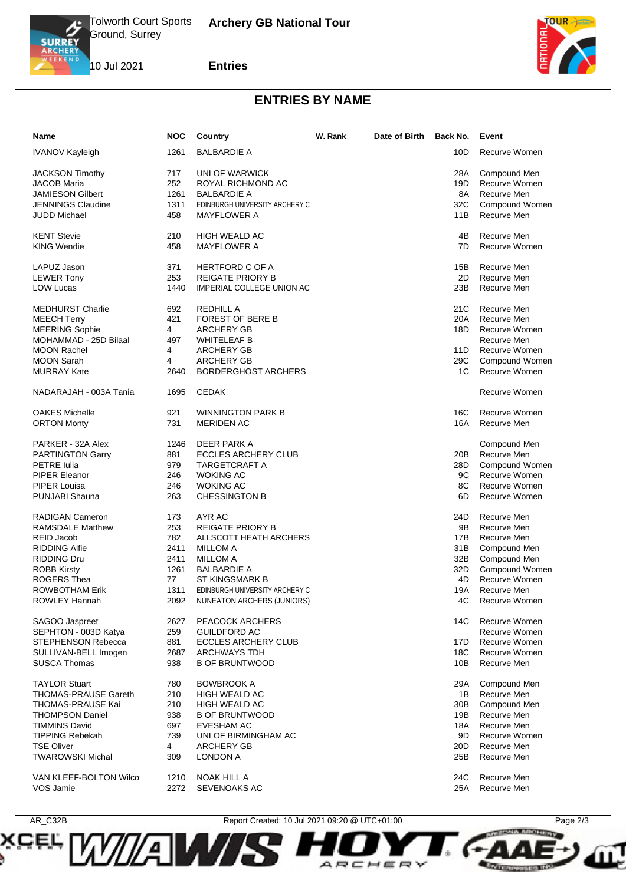

**SCEL** 

*ian* 

10 Jul 2021

## **Entries**



**PRZCINA ARCHIVAV** 

**ENTERPRISES INC.** 

## **ENTRIES BY NAME**

| <b>Name</b>                 | <b>NOC</b> | Country                        | W. Rank | Date of Birth | Back No. | Event          |
|-----------------------------|------------|--------------------------------|---------|---------------|----------|----------------|
| <b>IVANOV Kayleigh</b>      | 1261       | <b>BALBARDIE A</b>             |         |               | 10D      | Recurve Women  |
| <b>JACKSON Timothy</b>      | 717        | UNI OF WARWICK                 |         |               | 28A      | Compound Men   |
| <b>JACOB Maria</b>          | 252        | ROYAL RICHMOND AC              |         |               | 19D      | Recurve Women  |
| <b>JAMIESON Gilbert</b>     | 1261       | <b>BALBARDIE A</b>             |         |               | 8A       | Recurve Men    |
| <b>JENNINGS Claudine</b>    | 1311       | EDINBURGH UNIVERSITY ARCHERY C |         |               | 32C      | Compound Women |
|                             |            |                                |         |               |          |                |
| <b>JUDD Michael</b>         | 458        | <b>MAYFLOWER A</b>             |         |               | 11B      | Recurve Men    |
| <b>KENT Stevie</b>          | 210        | <b>HIGH WEALD AC</b>           |         |               | 4B       | Recurve Men    |
| <b>KING Wendie</b>          | 458        | <b>MAYFLOWER A</b>             |         |               | 7D       | Recurve Women  |
| LAPUZ Jason                 | 371        | <b>HERTFORD C OF A</b>         |         |               | 15B      | Recurve Men    |
| <b>LEWER Tony</b>           | 253        | <b>REIGATE PRIORY B</b>        |         |               | 2D       | Recurve Men    |
| <b>LOW Lucas</b>            | 1440       | IMPERIAL COLLEGE UNION AC      |         |               | 23B      | Recurve Men    |
|                             |            |                                |         |               |          |                |
| <b>MEDHURST Charlie</b>     | 692        | <b>REDHILL A</b>               |         |               | 21C      | Recurve Men    |
| <b>MEECH Terry</b>          | 421        | <b>FOREST OF BERE B</b>        |         |               | 20A      | Recurve Men    |
| <b>MEERING Sophie</b>       | 4          | ARCHERY GB                     |         |               | 18D      | Recurve Women  |
| MOHAMMAD - 25D Bilaal       | 497        | <b>WHITELEAF B</b>             |         |               |          | Recurve Men    |
| <b>MOON Rachel</b>          | 4          | <b>ARCHERY GB</b>              |         |               | 11D      | Recurve Women  |
| <b>MOON Sarah</b>           | 4          | <b>ARCHERY GB</b>              |         |               | 29C      | Compound Women |
| <b>MURRAY Kate</b>          | 2640       | <b>BORDERGHOST ARCHERS</b>     |         |               | 1C       | Recurve Women  |
| NADARAJAH - 003A Tania      | 1695       | <b>CEDAK</b>                   |         |               |          | Recurve Women  |
|                             |            |                                |         |               |          |                |
| <b>OAKES Michelle</b>       | 921        | <b>WINNINGTON PARK B</b>       |         |               | 16C      | Recurve Women  |
| <b>ORTON Monty</b>          | 731        | <b>MERIDEN AC</b>              |         |               | 16A      | Recurve Men    |
| PARKER - 32A Alex           | 1246       | DEER PARK A                    |         |               |          | Compound Men   |
| <b>PARTINGTON Garry</b>     | 881        | <b>ECCLES ARCHERY CLUB</b>     |         |               | 20B      | Recurve Men    |
| <b>PETRE</b> Iulia          | 979        | TARGETCRAFT A                  |         |               | 28D      | Compound Women |
| <b>PIPER Eleanor</b>        | 246        | <b>WOKING AC</b>               |         |               | 9C       | Recurve Women  |
| PIPER Louisa                | 246        | <b>WOKING AC</b>               |         |               | 8C       | Recurve Women  |
| PUNJABI Shauna              | 263        | <b>CHESSINGTON B</b>           |         |               | 6D       | Recurve Women  |
|                             |            |                                |         |               |          |                |
| RADIGAN Cameron             | 173        | AYR AC                         |         |               | 24D      | Recurve Men    |
| <b>RAMSDALE Matthew</b>     | 253        | <b>REIGATE PRIORY B</b>        |         |               | 9Β       | Recurve Men    |
| <b>REID Jacob</b>           | 782        | ALLSCOTT HEATH ARCHERS         |         |               | 17B      | Recurve Men    |
| <b>RIDDING Alfie</b>        | 2411       | <b>MILLOM A</b>                |         |               | 31B      | Compound Men   |
| <b>RIDDING Dru</b>          | 2411       | <b>MILLOM A</b>                |         |               | 32B      | Compound Men   |
| <b>ROBB Kirsty</b>          | 1261       | <b>BALBARDIE A</b>             |         |               | 32D      | Compound Women |
| <b>ROGERS Thea</b>          | 77         | ST KINGSMARK B                 |         |               | 4D       | Recurve Women  |
| <b>ROWBOTHAM Erik</b>       | 1311       | EDINBURGH UNIVERSITY ARCHERY C |         |               | 19A      | Recurve Men    |
| ROWLEY Hannah               | 2092       | NUNEATON ARCHERS (JUNIORS)     |         |               | 4C       | Recurve Women  |
| SAGOO Jaspreet              | 2627       | PEACOCK ARCHERS                |         |               | 14C      | Recurve Women  |
| SEPHTON - 003D Katya        | 259        | <b>GUILDFORD AC</b>            |         |               |          | Recurve Women  |
| STEPHENSON Rebecca          | 881        | <b>ECCLES ARCHERY CLUB</b>     |         |               | 17D      | Recurve Women  |
|                             |            |                                |         |               |          |                |
| SULLIVAN-BELL Imogen        | 2687       | <b>ARCHWAYS TDH</b>            |         |               | 18C      | Recurve Women  |
| <b>SUSCA Thomas</b>         | 938        | <b>B OF BRUNTWOOD</b>          |         |               | 10B      | Recurve Men    |
| <b>TAYLOR Stuart</b>        | 780        | <b>BOWBROOK A</b>              |         |               | 29A      | Compound Men   |
| <b>THOMAS-PRAUSE Gareth</b> | 210        | <b>HIGH WEALD AC</b>           |         |               | 1B       | Recurve Men    |
| THOMAS-PRAUSE Kai           | 210        | <b>HIGH WEALD AC</b>           |         |               | 30B      | Compound Men   |
| <b>THOMPSON Daniel</b>      | 938        | <b>B OF BRUNTWOOD</b>          |         |               | 19B      | Recurve Men    |
| <b>TIMMINS David</b>        | 697        | <b>EVESHAM AC</b>              |         |               | 18A      | Recurve Men    |
| <b>TIPPING Rebekah</b>      | 739        | UNI OF BIRMINGHAM AC           |         |               | 9D       | Recurve Women  |
| <b>TSE Oliver</b>           | 4          | <b>ARCHERY GB</b>              |         |               | 20D      | Recurve Men    |
| <b>TWAROWSKI Michal</b>     | 309        | <b>LONDON A</b>                |         |               | 25B      | Recurve Men    |
| VAN KLEEF-BOLTON Wilco      | 1210       | NOAK HILL A                    |         |               | 24C      | Recurve Men    |
| VOS Jamie                   | 2272       | <b>SEVENOAKS AC</b>            |         |               | 25A      | Recurve Men    |
|                             |            |                                |         |               |          |                |



ARCHER

 $\checkmark$